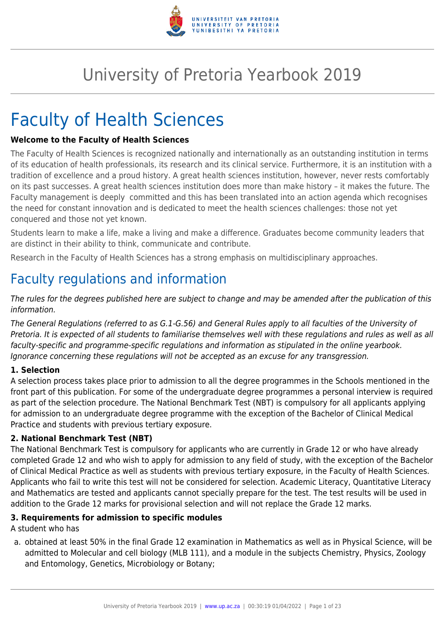

# University of Pretoria Yearbook 2019

# Faculty of Health Sciences

### **Welcome to the Faculty of Health Sciences**

The Faculty of Health Sciences is recognized nationally and internationally as an outstanding institution in terms of its education of health professionals, its research and its clinical service. Furthermore, it is an institution with a tradition of excellence and a proud history. A great health sciences institution, however, never rests comfortably on its past successes. A great health sciences institution does more than make history – it makes the future. The Faculty management is deeply committed and this has been translated into an action agenda which recognises the need for constant innovation and is dedicated to meet the health sciences challenges: those not yet conquered and those not yet known.

Students learn to make a life, make a living and make a difference. Graduates become community leaders that are distinct in their ability to think, communicate and contribute.

Research in the Faculty of Health Sciences has a strong emphasis on multidisciplinary approaches.

# Faculty regulations and information

The rules for the degrees published here are subject to change and may be amended after the publication of this information.

The General Regulations (referred to as G.1-G.56) and General Rules apply to all faculties of the University of Pretoria. It is expected of all students to familiarise themselves well with these regulations and rules as well as all faculty-specific and programme-specific regulations and information as stipulated in the online yearbook. Ignorance concerning these regulations will not be accepted as an excuse for any transgression.

### **1. Selection**

A selection process takes place prior to admission to all the degree programmes in the Schools mentioned in the front part of this publication. For some of the undergraduate degree programmes a personal interview is required as part of the selection procedure. The National Benchmark Test (NBT) is compulsory for all applicants applying for admission to an undergraduate degree programme with the exception of the Bachelor of Clinical Medical Practice and students with previous tertiary exposure.

### **2. National Benchmark Test (NBT)**

The National Benchmark Test is compulsory for applicants who are currently in Grade 12 or who have already completed Grade 12 and who wish to apply for admission to any field of study, with the exception of the Bachelor of Clinical Medical Practice as well as students with previous tertiary exposure, in the Faculty of Health Sciences. Applicants who fail to write this test will not be considered for selection. Academic Literacy, Quantitative Literacy and Mathematics are tested and applicants cannot specially prepare for the test. The test results will be used in addition to the Grade 12 marks for provisional selection and will not replace the Grade 12 marks.

### **3. Requirements for admission to specific modules**

A student who has

a. obtained at least 50% in the final Grade 12 examination in Mathematics as well as in Physical Science, will be admitted to Molecular and cell biology (MLB 111), and a module in the subjects Chemistry, Physics, Zoology and Entomology, Genetics, Microbiology or Botany;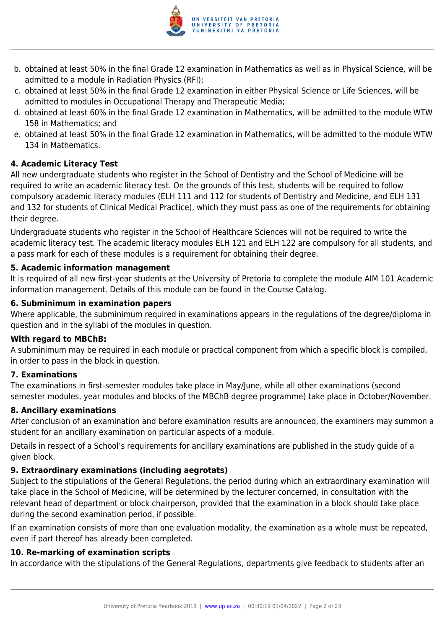

- b. obtained at least 50% in the final Grade 12 examination in Mathematics as well as in Physical Science, will be admitted to a module in Radiation Physics (RFI);
- c. obtained at least 50% in the final Grade 12 examination in either Physical Science or Life Sciences, will be admitted to modules in Occupational Therapy and Therapeutic Media;
- d. obtained at least 60% in the final Grade 12 examination in Mathematics, will be admitted to the module WTW 158 in Mathematics; and
- e. obtained at least 50% in the final Grade 12 examination in Mathematics, will be admitted to the module WTW 134 in Mathematics.

# **4. Academic Literacy Test**

All new undergraduate students who register in the School of Dentistry and the School of Medicine will be required to write an academic literacy test. On the grounds of this test, students will be required to follow compulsory academic literacy modules (ELH 111 and 112 for students of Dentistry and Medicine, and ELH 131 and 132 for students of Clinical Medical Practice), which they must pass as one of the requirements for obtaining their degree.

Undergraduate students who register in the School of Healthcare Sciences will not be required to write the academic literacy test. The academic literacy modules ELH 121 and ELH 122 are compulsory for all students, and a pass mark for each of these modules is a requirement for obtaining their degree.

### **5. Academic information management**

It is required of all new first-year students at the University of Pretoria to complete the module AIM 101 Academic information management. Details of this module can be found in the Course Catalog.

#### **6. Subminimum in examination papers**

Where applicable, the subminimum required in examinations appears in the regulations of the degree/diploma in question and in the syllabi of the modules in question.

#### **With regard to MBChB:**

A subminimum may be required in each module or practical component from which a specific block is compiled, in order to pass in the block in question.

### **7. Examinations**

The examinations in first-semester modules take place in May/June, while all other examinations (second semester modules, year modules and blocks of the MBChB degree programme) take place in October/November.

### **8. Ancillary examinations**

After conclusion of an examination and before examination results are announced, the examiners may summon a student for an ancillary examination on particular aspects of a module.

Details in respect of a School's requirements for ancillary examinations are published in the study guide of a given block.

### **9. Extraordinary examinations (including aegrotats)**

Subject to the stipulations of the General Regulations, the period during which an extraordinary examination will take place in the School of Medicine, will be determined by the lecturer concerned, in consultation with the relevant head of department or block chairperson, provided that the examination in a block should take place during the second examination period, if possible.

If an examination consists of more than one evaluation modality, the examination as a whole must be repeated, even if part thereof has already been completed.

#### **10. Re-marking of examination scripts**

In accordance with the stipulations of the General Regulations, departments give feedback to students after an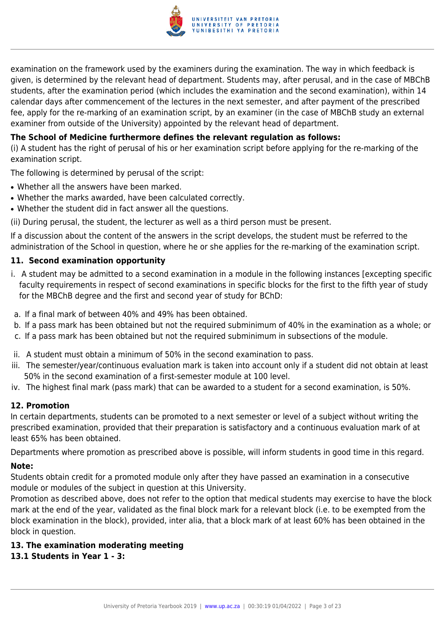

examination on the framework used by the examiners during the examination. The way in which feedback is given, is determined by the relevant head of department. Students may, after perusal, and in the case of MBChB students, after the examination period (which includes the examination and the second examination), within 14 calendar days after commencement of the lectures in the next semester, and after payment of the prescribed fee, apply for the re-marking of an examination script, by an examiner (in the case of MBChB study an external examiner from outside of the University) appointed by the relevant head of department.

# **The School of Medicine furthermore defines the relevant regulation as follows:**

(i) A student has the right of perusal of his or her examination script before applying for the re-marking of the examination script.

The following is determined by perusal of the script:

- Whether all the answers have been marked.
- Whether the marks awarded, have been calculated correctly.
- Whether the student did in fact answer all the questions.

(ii) During perusal, the student, the lecturer as well as a third person must be present.

If a discussion about the content of the answers in the script develops, the student must be referred to the administration of the School in question, where he or she applies for the re-marking of the examination script.

# **11. Second examination opportunity**

- i. A student may be admitted to a second examination in a module in the following instances [excepting specific faculty requirements in respect of second examinations in specific blocks for the first to the fifth year of study for the MBChB degree and the first and second year of study for BChD:
- a. If a final mark of between 40% and 49% has been obtained.
- b. If a pass mark has been obtained but not the required subminimum of 40% in the examination as a whole; or
- c. If a pass mark has been obtained but not the required subminimum in subsections of the module.
- ii. A student must obtain a minimum of 50% in the second examination to pass.
- iii. The semester/year/continuous evaluation mark is taken into account only if a student did not obtain at least 50% in the second examination of a first-semester module at 100 level.
- iv. The highest final mark (pass mark) that can be awarded to a student for a second examination, is 50%.

# **12. Promotion**

In certain departments, students can be promoted to a next semester or level of a subject without writing the prescribed examination, provided that their preparation is satisfactory and a continuous evaluation mark of at least 65% has been obtained.

Departments where promotion as prescribed above is possible, will inform students in good time in this regard.

### **Note:**

Students obtain credit for a promoted module only after they have passed an examination in a consecutive module or modules of the subject in question at this University.

Promotion as described above, does not refer to the option that medical students may exercise to have the block mark at the end of the year, validated as the final block mark for a relevant block (i.e. to be exempted from the block examination in the block), provided, inter alia, that a block mark of at least 60% has been obtained in the block in question.

# **13. The examination moderating meeting**

### **13.1 Students in Year 1 - 3:**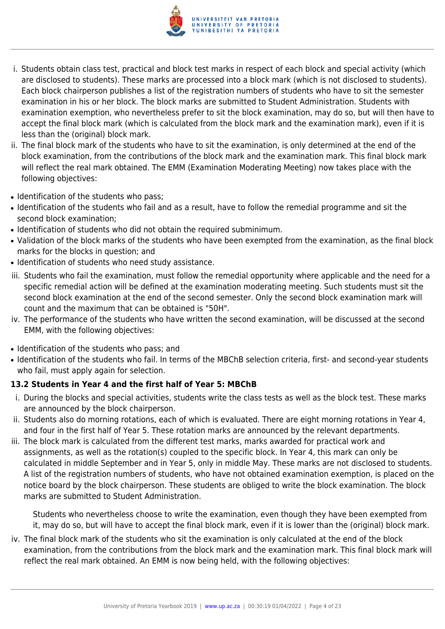

- i. Students obtain class test, practical and block test marks in respect of each block and special activity (which are disclosed to students). These marks are processed into a block mark (which is not disclosed to students). Each block chairperson publishes a list of the registration numbers of students who have to sit the semester examination in his or her block. The block marks are submitted to Student Administration. Students with examination exemption, who nevertheless prefer to sit the block examination, may do so, but will then have to accept the final block mark (which is calculated from the block mark and the examination mark), even if it is less than the (original) block mark.
- ii. The final block mark of the students who have to sit the examination, is only determined at the end of the block examination, from the contributions of the block mark and the examination mark. This final block mark will reflect the real mark obtained. The EMM (Examination Moderating Meeting) now takes place with the following objectives:
- Identification of the students who pass:
- Identification of the students who fail and as a result, have to follow the remedial programme and sit the second block examination;
- Identification of students who did not obtain the required subminimum.
- Validation of the block marks of the students who have been exempted from the examination, as the final block marks for the blocks in question; and
- Identification of students who need study assistance.
- iii. Students who fail the examination, must follow the remedial opportunity where applicable and the need for a specific remedial action will be defined at the examination moderating meeting. Such students must sit the second block examination at the end of the second semester. Only the second block examination mark will count and the maximum that can be obtained is "50H".
- iv. The performance of the students who have written the second examination, will be discussed at the second EMM, with the following objectives:
- Identification of the students who pass; and
- Identification of the students who fail. In terms of the MBChB selection criteria, first- and second-year students who fail, must apply again for selection.

# **13.2 Students in Year 4 and the first half of Year 5: MBChB**

- i. During the blocks and special activities, students write the class tests as well as the block test. These marks are announced by the block chairperson.
- ii. Students also do morning rotations, each of which is evaluated. There are eight morning rotations in Year 4, and four in the first half of Year 5. These rotation marks are announced by the relevant departments.
- iii. The block mark is calculated from the different test marks, marks awarded for practical work and assignments, as well as the rotation(s) coupled to the specific block. In Year 4, this mark can only be calculated in middle September and in Year 5, only in middle May. These marks are not disclosed to students. A list of the registration numbers of students, who have not obtained examination exemption, is placed on the notice board by the block chairperson. These students are obliged to write the block examination. The block marks are submitted to Student Administration.

Students who nevertheless choose to write the examination, even though they have been exempted from it, may do so, but will have to accept the final block mark, even if it is lower than the (original) block mark.

iv. The final block mark of the students who sit the examination is only calculated at the end of the block examination, from the contributions from the block mark and the examination mark. This final block mark will reflect the real mark obtained. An EMM is now being held, with the following objectives: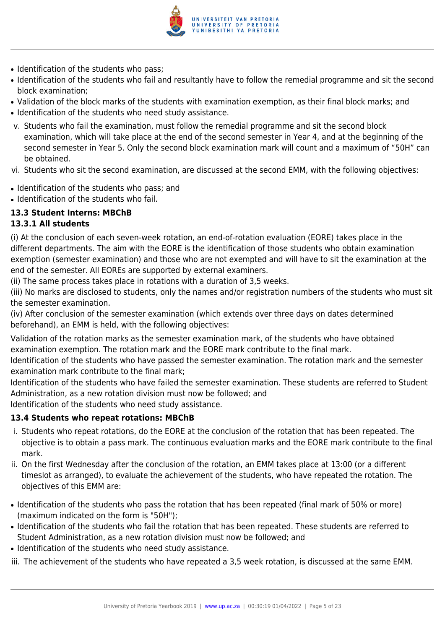

- Identification of the students who pass:
- Identification of the students who fail and resultantly have to follow the remedial programme and sit the second block examination;
- Validation of the block marks of the students with examination exemption, as their final block marks; and • Identification of the students who need study assistance.
- v. Students who fail the examination, must follow the remedial programme and sit the second block examination, which will take place at the end of the second semester in Year 4, and at the beginning of the second semester in Year 5. Only the second block examination mark will count and a maximum of "50H" can be obtained.
- vi. Students who sit the second examination, are discussed at the second EMM, with the following objectives:
- Identification of the students who pass; and
- Identification of the students who fail.

# **13.3 Student Interns: MBChB**

# **13.3.1 All students**

(i) At the conclusion of each seven-week rotation, an end-of-rotation evaluation (EORE) takes place in the different departments. The aim with the EORE is the identification of those students who obtain examination exemption (semester examination) and those who are not exempted and will have to sit the examination at the end of the semester. All EOREs are supported by external examiners.

(ii) The same process takes place in rotations with a duration of 3,5 weeks.

(iii) No marks are disclosed to students, only the names and/or registration numbers of the students who must sit the semester examination.

(iv) After conclusion of the semester examination (which extends over three days on dates determined beforehand), an EMM is held, with the following objectives:

Validation of the rotation marks as the semester examination mark, of the students who have obtained examination exemption. The rotation mark and the EORE mark contribute to the final mark.

Identification of the students who have passed the semester examination. The rotation mark and the semester examination mark contribute to the final mark;

Identification of the students who have failed the semester examination. These students are referred to Student Administration, as a new rotation division must now be followed; and

Identification of the students who need study assistance.

# **13.4 Students who repeat rotations: MBChB**

- i. Students who repeat rotations, do the EORE at the conclusion of the rotation that has been repeated. The objective is to obtain a pass mark. The continuous evaluation marks and the EORE mark contribute to the final mark.
- ii. On the first Wednesday after the conclusion of the rotation, an EMM takes place at 13:00 (or a different timeslot as arranged), to evaluate the achievement of the students, who have repeated the rotation. The objectives of this EMM are:
- Identification of the students who pass the rotation that has been repeated (final mark of 50% or more) (maximum indicated on the form is "50H");
- Identification of the students who fail the rotation that has been repeated. These students are referred to Student Administration, as a new rotation division must now be followed; and
- Identification of the students who need study assistance.
- iii. The achievement of the students who have repeated a 3,5 week rotation, is discussed at the same EMM.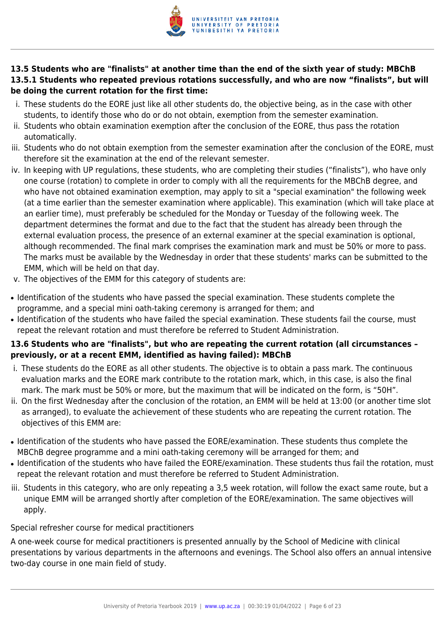

# **13.5 Students who are "finalists" at another time than the end of the sixth year of study: MBChB 13.5.1 Students who repeated previous rotations successfully, and who are now "finalists", but will be doing the current rotation for the first time:**

- i. These students do the EORE just like all other students do, the objective being, as in the case with other students, to identify those who do or do not obtain, exemption from the semester examination.
- ii. Students who obtain examination exemption after the conclusion of the EORE, thus pass the rotation automatically.
- iii. Students who do not obtain exemption from the semester examination after the conclusion of the EORE, must therefore sit the examination at the end of the relevant semester.
- iv. In keeping with UP regulations, these students, who are completing their studies ("finalists"), who have only one course (rotation) to complete in order to comply with all the requirements for the MBChB degree, and who have not obtained examination exemption, may apply to sit a "special examination" the following week (at a time earlier than the semester examination where applicable). This examination (which will take place at an earlier time), must preferably be scheduled for the Monday or Tuesday of the following week. The department determines the format and due to the fact that the student has already been through the external evaluation process, the presence of an external examiner at the special examination is optional, although recommended. The final mark comprises the examination mark and must be 50% or more to pass. The marks must be available by the Wednesday in order that these students' marks can be submitted to the EMM, which will be held on that day.
- v. The objectives of the EMM for this category of students are:
- Identification of the students who have passed the special examination. These students complete the programme, and a special mini oath-taking ceremony is arranged for them; and
- Identification of the students who have failed the special examination. These students fail the course, must repeat the relevant rotation and must therefore be referred to Student Administration.

# **13.6 Students who are "finalists", but who are repeating the current rotation (all circumstances – previously, or at a recent EMM, identified as having failed): MBChB**

- i. These students do the EORE as all other students. The objective is to obtain a pass mark. The continuous evaluation marks and the EORE mark contribute to the rotation mark, which, in this case, is also the final mark. The mark must be 50% or more, but the maximum that will be indicated on the form, is "50H".
- ii. On the first Wednesday after the conclusion of the rotation, an EMM will be held at 13:00 (or another time slot as arranged), to evaluate the achievement of these students who are repeating the current rotation. The objectives of this EMM are:
- Identification of the students who have passed the EORE/examination. These students thus complete the MBChB degree programme and a mini oath-taking ceremony will be arranged for them; and
- Identification of the students who have failed the EORE/examination. These students thus fail the rotation, must repeat the relevant rotation and must therefore be referred to Student Administration.
- iii. Students in this category, who are only repeating a 3,5 week rotation, will follow the exact same route, but a unique EMM will be arranged shortly after completion of the EORE/examination. The same objectives will apply.

# Special refresher course for medical practitioners

A one-week course for medical practitioners is presented annually by the School of Medicine with clinical presentations by various departments in the afternoons and evenings. The School also offers an annual intensive two-day course in one main field of study.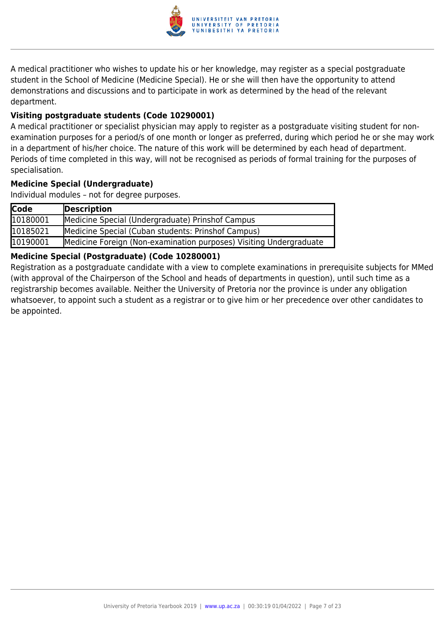

A medical practitioner who wishes to update his or her knowledge, may register as a special postgraduate student in the School of Medicine (Medicine Special). He or she will then have the opportunity to attend demonstrations and discussions and to participate in work as determined by the head of the relevant department.

# **Visiting postgraduate students (Code 10290001)**

A medical practitioner or specialist physician may apply to register as a postgraduate visiting student for nonexamination purposes for a period/s of one month or longer as preferred, during which period he or she may work in a department of his/her choice. The nature of this work will be determined by each head of department. Periods of time completed in this way, will not be recognised as periods of formal training for the purposes of specialisation.

#### **Medicine Special (Undergraduate)**

Individual modules – not for degree purposes.

| <b>Code</b> | Description                                                        |
|-------------|--------------------------------------------------------------------|
| 10180001    | Medicine Special (Undergraduate) Prinshof Campus                   |
| 10185021    | Medicine Special (Cuban students: Prinshof Campus)                 |
| 10190001    | Medicine Foreign (Non-examination purposes) Visiting Undergraduate |

### **Medicine Special (Postgraduate) (Code 10280001)**

Registration as a postgraduate candidate with a view to complete examinations in prerequisite subjects for MMed (with approval of the Chairperson of the School and heads of departments in question), until such time as a registrarship becomes available. Neither the University of Pretoria nor the province is under any obligation whatsoever, to appoint such a student as a registrar or to give him or her precedence over other candidates to be appointed.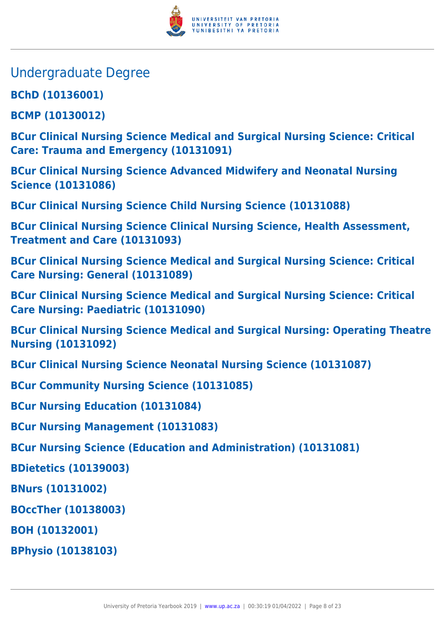

- Undergraduate Degree
- **BChD (10136001)**
- **BCMP (10130012)**
- **BCur Clinical Nursing Science Medical and Surgical Nursing Science: Critical Care: Trauma and Emergency (10131091)**
- **BCur Clinical Nursing Science Advanced Midwifery and Neonatal Nursing Science (10131086)**
- **BCur Clinical Nursing Science Child Nursing Science (10131088)**
- **BCur Clinical Nursing Science Clinical Nursing Science, Health Assessment, Treatment and Care (10131093)**
- **BCur Clinical Nursing Science Medical and Surgical Nursing Science: Critical Care Nursing: General (10131089)**
- **BCur Clinical Nursing Science Medical and Surgical Nursing Science: Critical Care Nursing: Paediatric (10131090)**
- **BCur Clinical Nursing Science Medical and Surgical Nursing: Operating Theatre Nursing (10131092)**
- **BCur Clinical Nursing Science Neonatal Nursing Science (10131087)**
- **BCur Community Nursing Science (10131085)**
- **BCur Nursing Education (10131084)**
- **BCur Nursing Management (10131083)**
- **BCur Nursing Science (Education and Administration) (10131081)**
- **BDietetics (10139003)**
- **BNurs (10131002)**
- **BOccTher (10138003)**
- **BOH (10132001)**
- **BPhysio (10138103)**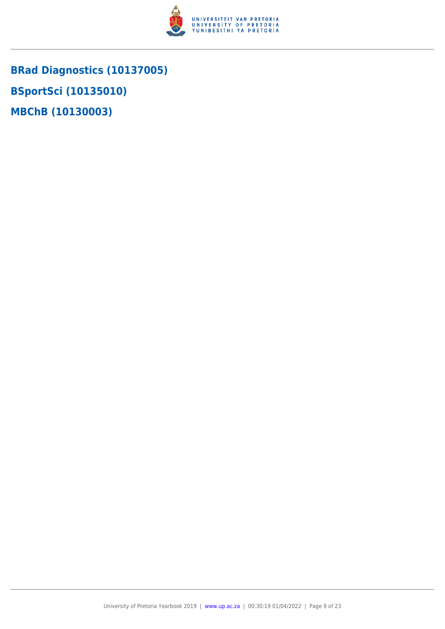

**BRad Diagnostics (10137005) BSportSci (10135010) MBChB (10130003)**

University of Pretoria Yearbook 2019 | [www.up.ac.za](https://www.up.ac.za/) | 00:30:19 01/04/2022 | Page 9 of 23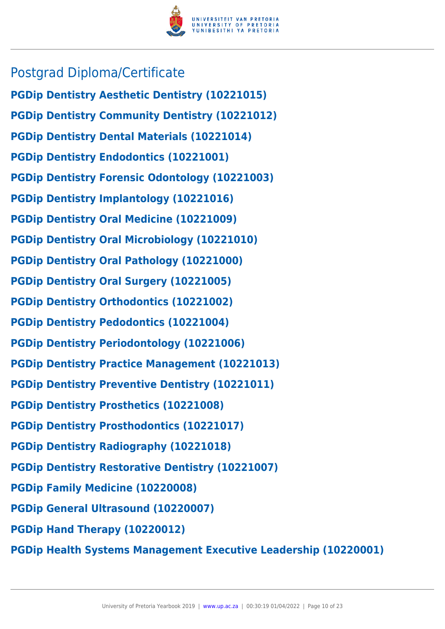

# Postgrad Diploma/Certificate

**PGDip Dentistry Aesthetic Dentistry (10221015) PGDip Dentistry Community Dentistry (10221012) PGDip Dentistry Dental Materials (10221014) PGDip Dentistry Endodontics (10221001) PGDip Dentistry Forensic Odontology (10221003) PGDip Dentistry Implantology (10221016) PGDip Dentistry Oral Medicine (10221009) PGDip Dentistry Oral Microbiology (10221010) PGDip Dentistry Oral Pathology (10221000) PGDip Dentistry Oral Surgery (10221005) PGDip Dentistry Orthodontics (10221002) PGDip Dentistry Pedodontics (10221004) PGDip Dentistry Periodontology (10221006) PGDip Dentistry Practice Management (10221013) PGDip Dentistry Preventive Dentistry (10221011) PGDip Dentistry Prosthetics (10221008) PGDip Dentistry Prosthodontics (10221017) PGDip Dentistry Radiography (10221018) PGDip Dentistry Restorative Dentistry (10221007) PGDip Family Medicine (10220008) PGDip General Ultrasound (10220007) PGDip Hand Therapy (10220012)**

**PGDip Health Systems Management Executive Leadership (10220001)**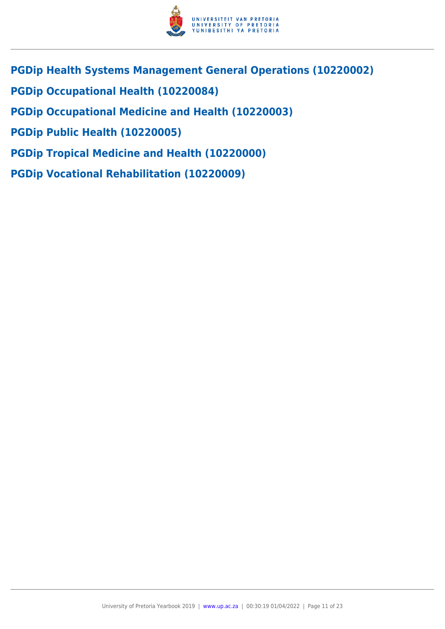

- **PGDip Health Systems Management General Operations (10220002)**
- **PGDip Occupational Health (10220084)**
- **PGDip Occupational Medicine and Health (10220003)**
- **PGDip Public Health (10220005)**
- **PGDip Tropical Medicine and Health (10220000)**
- **PGDip Vocational Rehabilitation (10220009)**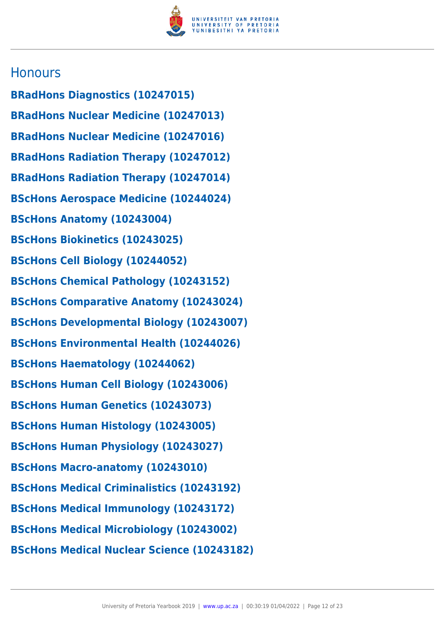

# **Honours**

**BRadHons Diagnostics (10247015) BRadHons Nuclear Medicine (10247013) BRadHons Nuclear Medicine (10247016) BRadHons Radiation Therapy (10247012) BRadHons Radiation Therapy (10247014) BScHons Aerospace Medicine (10244024) BScHons Anatomy (10243004) BScHons Biokinetics (10243025) BScHons Cell Biology (10244052) BScHons Chemical Pathology (10243152) BScHons Comparative Anatomy (10243024) BScHons Developmental Biology (10243007) BScHons Environmental Health (10244026) BScHons Haematology (10244062) BScHons Human Cell Biology (10243006) BScHons Human Genetics (10243073) BScHons Human Histology (10243005) BScHons Human Physiology (10243027) BScHons Macro-anatomy (10243010) BScHons Medical Criminalistics (10243192) BScHons Medical Immunology (10243172) BScHons Medical Microbiology (10243002) BScHons Medical Nuclear Science (10243182)**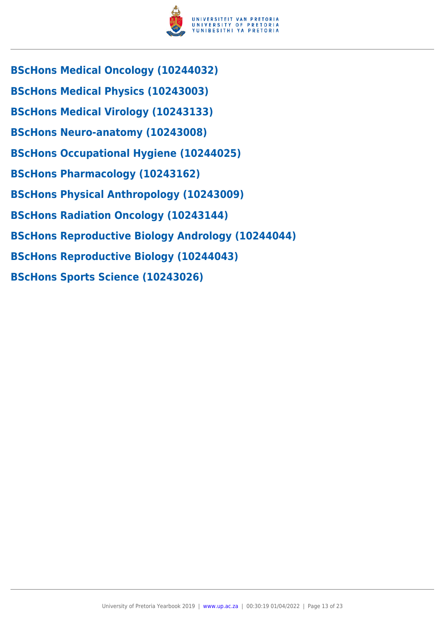

- **BScHons Medical Oncology (10244032)**
- **BScHons Medical Physics (10243003)**
- **BScHons Medical Virology (10243133)**
- **BScHons Neuro-anatomy (10243008)**
- **BScHons Occupational Hygiene (10244025)**
- **BScHons Pharmacology (10243162)**
- **BScHons Physical Anthropology (10243009)**
- **BScHons Radiation Oncology (10243144)**
- **BScHons Reproductive Biology Andrology (10244044)**
- **BScHons Reproductive Biology (10244043)**
- **BScHons Sports Science (10243026)**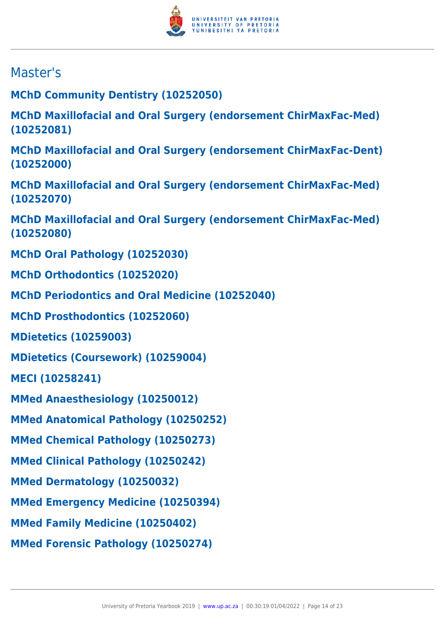

# Master's

**MChD Community Dentistry (10252050)**

**MChD Maxillofacial and Oral Surgery (endorsement ChirMaxFac-Med) (10252081)**

**MChD Maxillofacial and Oral Surgery (endorsement ChirMaxFac-Dent) (10252000)**

**MChD Maxillofacial and Oral Surgery (endorsement ChirMaxFac-Med) (10252070)**

**MChD Maxillofacial and Oral Surgery (endorsement ChirMaxFac-Med) (10252080)**

**MChD Oral Pathology (10252030)**

**MChD Orthodontics (10252020)**

**MChD Periodontics and Oral Medicine (10252040)**

**MChD Prosthodontics (10252060)**

**MDietetics (10259003)**

**MDietetics (Coursework) (10259004)**

**MECI (10258241)**

**MMed Anaesthesiology (10250012)**

**MMed Anatomical Pathology (10250252)**

**MMed Chemical Pathology (10250273)**

**MMed Clinical Pathology (10250242)**

**MMed Dermatology (10250032)**

**MMed Emergency Medicine (10250394)**

**MMed Family Medicine (10250402)**

**MMed Forensic Pathology (10250274)**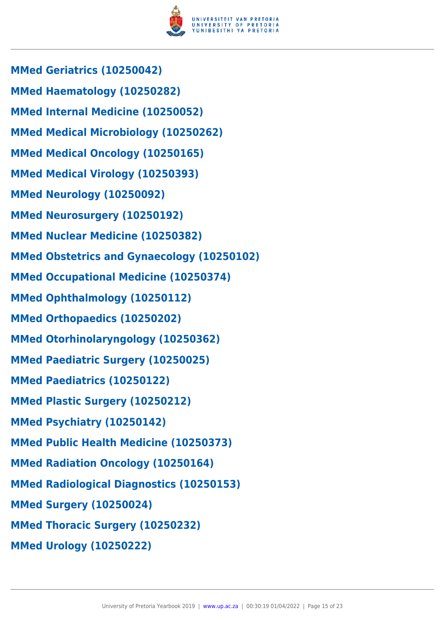

**MMed Geriatrics (10250042) MMed Haematology (10250282) MMed Internal Medicine (10250052) MMed Medical Microbiology (10250262) MMed Medical Oncology (10250165) MMed Medical Virology (10250393) MMed Neurology (10250092) MMed Neurosurgery (10250192) MMed Nuclear Medicine (10250382) MMed Obstetrics and Gynaecology (10250102) MMed Occupational Medicine (10250374) MMed Ophthalmology (10250112) MMed Orthopaedics (10250202) MMed Otorhinolaryngology (10250362) MMed Paediatric Surgery (10250025) MMed Paediatrics (10250122) MMed Plastic Surgery (10250212) MMed Psychiatry (10250142) MMed Public Health Medicine (10250373) MMed Radiation Oncology (10250164) MMed Radiological Diagnostics (10250153) MMed Surgery (10250024) MMed Thoracic Surgery (10250232) MMed Urology (10250222)**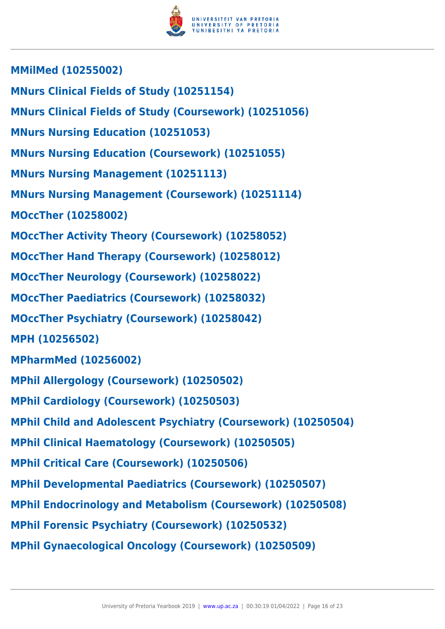

**MMilMed (10255002) MNurs Clinical Fields of Study (10251154) MNurs Clinical Fields of Study (Coursework) (10251056) MNurs Nursing Education (10251053) MNurs Nursing Education (Coursework) (10251055) MNurs Nursing Management (10251113) MNurs Nursing Management (Coursework) (10251114) MOccTher (10258002) MOccTher Activity Theory (Coursework) (10258052) MOccTher Hand Therapy (Coursework) (10258012) MOccTher Neurology (Coursework) (10258022) MOccTher Paediatrics (Coursework) (10258032) MOccTher Psychiatry (Coursework) (10258042) MPH (10256502) MPharmMed (10256002) MPhil Allergology (Coursework) (10250502) MPhil Cardiology (Coursework) (10250503) MPhil Child and Adolescent Psychiatry (Coursework) (10250504) MPhil Clinical Haematology (Coursework) (10250505) MPhil Critical Care (Coursework) (10250506) MPhil Developmental Paediatrics (Coursework) (10250507) MPhil Endocrinology and Metabolism (Coursework) (10250508) MPhil Forensic Psychiatry (Coursework) (10250532) MPhil Gynaecological Oncology (Coursework) (10250509)**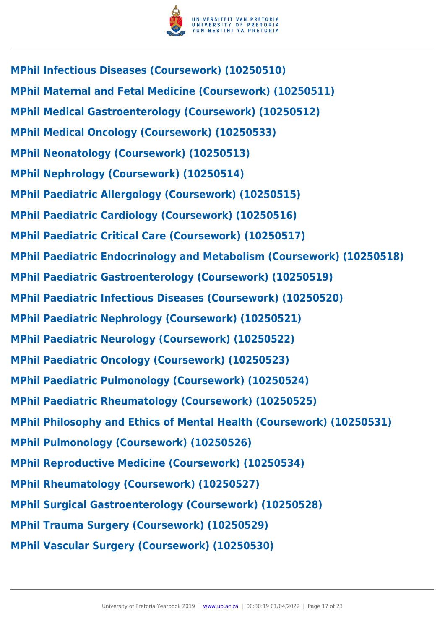

**MPhil Infectious Diseases (Coursework) (10250510) MPhil Maternal and Fetal Medicine (Coursework) (10250511) MPhil Medical Gastroenterology (Coursework) (10250512) MPhil Medical Oncology (Coursework) (10250533) MPhil Neonatology (Coursework) (10250513) MPhil Nephrology (Coursework) (10250514) MPhil Paediatric Allergology (Coursework) (10250515) MPhil Paediatric Cardiology (Coursework) (10250516) MPhil Paediatric Critical Care (Coursework) (10250517) MPhil Paediatric Endocrinology and Metabolism (Coursework) (10250518) MPhil Paediatric Gastroenterology (Coursework) (10250519) MPhil Paediatric Infectious Diseases (Coursework) (10250520) MPhil Paediatric Nephrology (Coursework) (10250521) MPhil Paediatric Neurology (Coursework) (10250522) MPhil Paediatric Oncology (Coursework) (10250523) MPhil Paediatric Pulmonology (Coursework) (10250524) MPhil Paediatric Rheumatology (Coursework) (10250525) MPhil Philosophy and Ethics of Mental Health (Coursework) (10250531) MPhil Pulmonology (Coursework) (10250526) MPhil Reproductive Medicine (Coursework) (10250534) MPhil Rheumatology (Coursework) (10250527) MPhil Surgical Gastroenterology (Coursework) (10250528) MPhil Trauma Surgery (Coursework) (10250529) MPhil Vascular Surgery (Coursework) (10250530)**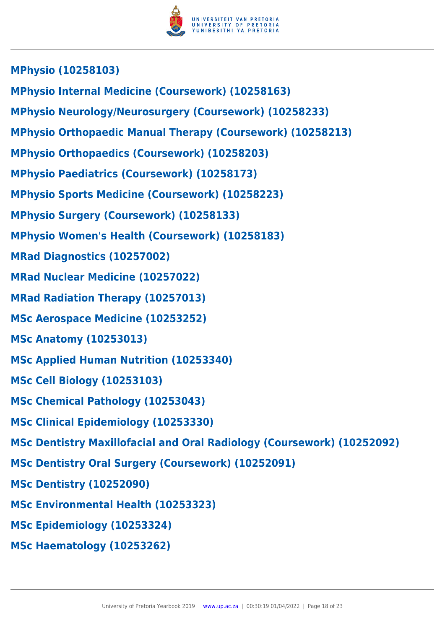

- **MPhysio Internal Medicine (Coursework) (10258163)**
- **MPhysio Neurology/Neurosurgery (Coursework) (10258233)**
- **MPhysio Orthopaedic Manual Therapy (Coursework) (10258213)**
- **MPhysio Orthopaedics (Coursework) (10258203)**
- **MPhysio Paediatrics (Coursework) (10258173)**
- **MPhysio Sports Medicine (Coursework) (10258223)**
- **MPhysio Surgery (Coursework) (10258133)**
- **MPhysio Women's Health (Coursework) (10258183)**
- **MRad Diagnostics (10257002)**
- **MRad Nuclear Medicine (10257022)**
- **MRad Radiation Therapy (10257013)**
- **MSc Aerospace Medicine (10253252)**
- **MSc Anatomy (10253013)**
- **MSc Applied Human Nutrition (10253340)**
- **MSc Cell Biology (10253103)**
- **MSc Chemical Pathology (10253043)**
- **MSc Clinical Epidemiology (10253330)**
- **MSc Dentistry Maxillofacial and Oral Radiology (Coursework) (10252092)**
- **MSc Dentistry Oral Surgery (Coursework) (10252091)**
- **MSc Dentistry (10252090)**
- **MSc Environmental Health (10253323)**
- **MSc Epidemiology (10253324)**
- **MSc Haematology (10253262)**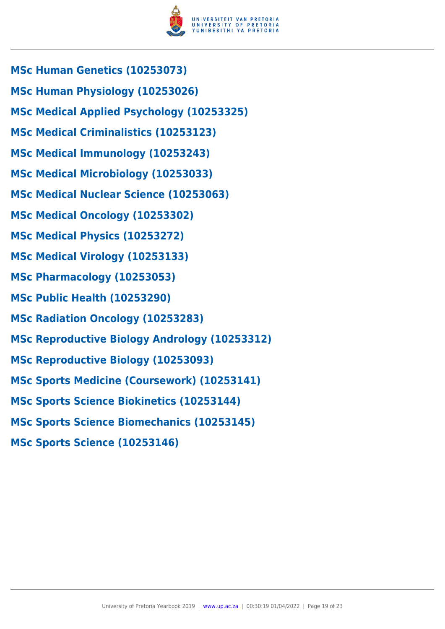

- **MSc Human Genetics (10253073)**
- **MSc Human Physiology (10253026)**
- **MSc Medical Applied Psychology (10253325)**
- **MSc Medical Criminalistics (10253123)**
- **MSc Medical Immunology (10253243)**
- **MSc Medical Microbiology (10253033)**
- **MSc Medical Nuclear Science (10253063)**
- **MSc Medical Oncology (10253302)**
- **MSc Medical Physics (10253272)**
- **MSc Medical Virology (10253133)**
- **MSc Pharmacology (10253053)**
- **MSc Public Health (10253290)**
- **MSc Radiation Oncology (10253283)**
- **MSc Reproductive Biology Andrology (10253312)**
- **MSc Reproductive Biology (10253093)**
- **MSc Sports Medicine (Coursework) (10253141)**
- **MSc Sports Science Biokinetics (10253144)**
- **MSc Sports Science Biomechanics (10253145)**
- **MSc Sports Science (10253146)**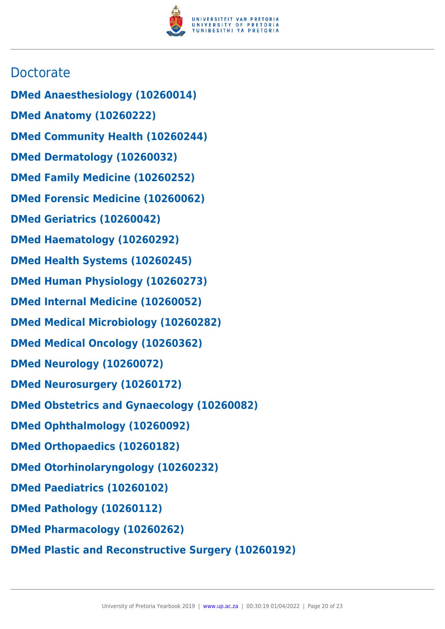

# **Doctorate**

- **DMed Anaesthesiology (10260014)**
- **DMed Anatomy (10260222)**
- **DMed Community Health (10260244)**
- **DMed Dermatology (10260032)**
- **DMed Family Medicine (10260252)**
- **DMed Forensic Medicine (10260062)**
- **DMed Geriatrics (10260042)**
- **DMed Haematology (10260292)**
- **DMed Health Systems (10260245)**
- **DMed Human Physiology (10260273)**
- **DMed Internal Medicine (10260052)**
- **DMed Medical Microbiology (10260282)**
- **DMed Medical Oncology (10260362)**
- **DMed Neurology (10260072)**
- **DMed Neurosurgery (10260172)**
- **DMed Obstetrics and Gynaecology (10260082)**
- **DMed Ophthalmology (10260092)**
- **DMed Orthopaedics (10260182)**
- **DMed Otorhinolaryngology (10260232)**
- **DMed Paediatrics (10260102)**
- **DMed Pathology (10260112)**
- **DMed Pharmacology (10260262)**
- **DMed Plastic and Reconstructive Surgery (10260192)**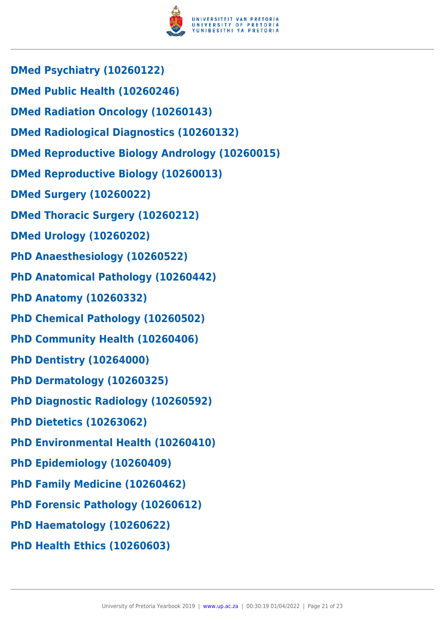

- **DMed Psychiatry (10260122)**
- **DMed Public Health (10260246)**
- **DMed Radiation Oncology (10260143)**
- **DMed Radiological Diagnostics (10260132)**
- **DMed Reproductive Biology Andrology (10260015)**
- **DMed Reproductive Biology (10260013)**
- **DMed Surgery (10260022)**
- **DMed Thoracic Surgery (10260212)**
- **DMed Urology (10260202)**
- **PhD Anaesthesiology (10260522)**
- **PhD Anatomical Pathology (10260442)**
- **PhD Anatomy (10260332)**
- **PhD Chemical Pathology (10260502)**
- **PhD Community Health (10260406)**
- **PhD Dentistry (10264000)**
- **PhD Dermatology (10260325)**
- **PhD Diagnostic Radiology (10260592)**
- **PhD Dietetics (10263062)**
- **PhD Environmental Health (10260410)**
- **PhD Epidemiology (10260409)**
- **PhD Family Medicine (10260462)**
- **PhD Forensic Pathology (10260612)**
- **PhD Haematology (10260622)**
- **PhD Health Ethics (10260603)**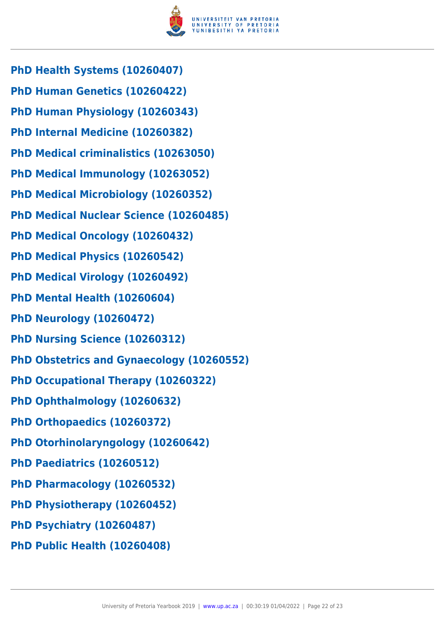

- **PhD Health Systems (10260407)**
- **PhD Human Genetics (10260422)**
- **PhD Human Physiology (10260343)**
- **PhD Internal Medicine (10260382)**
- **PhD Medical criminalistics (10263050)**
- **PhD Medical Immunology (10263052)**
- **PhD Medical Microbiology (10260352)**
- **PhD Medical Nuclear Science (10260485)**
- **PhD Medical Oncology (10260432)**
- **PhD Medical Physics (10260542)**
- **PhD Medical Virology (10260492)**
- **PhD Mental Health (10260604)**
- **PhD Neurology (10260472)**
- **PhD Nursing Science (10260312)**
- **PhD Obstetrics and Gynaecology (10260552)**
- **PhD Occupational Therapy (10260322)**
- **PhD Ophthalmology (10260632)**
- **PhD Orthopaedics (10260372)**
- **PhD Otorhinolaryngology (10260642)**
- **PhD Paediatrics (10260512)**
- **PhD Pharmacology (10260532)**
- **PhD Physiotherapy (10260452)**
- **PhD Psychiatry (10260487)**
- **PhD Public Health (10260408)**